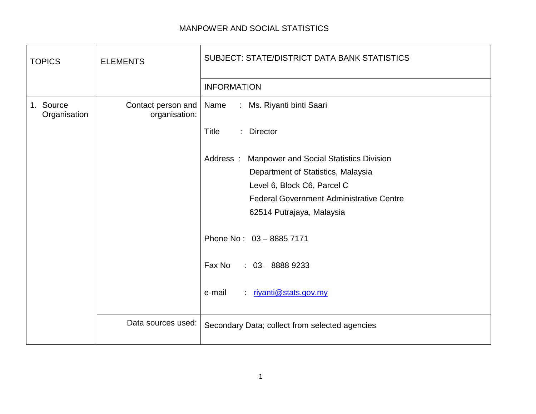## MANPOWER AND SOCIAL STATISTICS

| <b>TOPICS</b>             | <b>ELEMENTS</b>                     | <b>SUBJECT: STATE/DISTRICT DATA BANK STATISTICS</b>         |
|---------------------------|-------------------------------------|-------------------------------------------------------------|
|                           |                                     | <b>INFORMATION</b>                                          |
| 1. Source<br>Organisation | Contact person and<br>organisation: | : Ms. Riyanti binti Saari<br>Name                           |
|                           |                                     | Title<br>: Director                                         |
|                           |                                     | Address :<br><b>Manpower and Social Statistics Division</b> |
|                           |                                     | Department of Statistics, Malaysia                          |
|                           |                                     | Level 6, Block C6, Parcel C                                 |
|                           |                                     | <b>Federal Government Administrative Centre</b>             |
|                           |                                     | 62514 Putrajaya, Malaysia                                   |
|                           |                                     | Phone No: 03 - 8885 7171                                    |
|                           |                                     | Fax No<br>$: 03 - 88889233$                                 |
|                           |                                     | riyanti@stats.gov.my<br>e-mail<br>÷.                        |
|                           | Data sources used:                  | Secondary Data; collect from selected agencies              |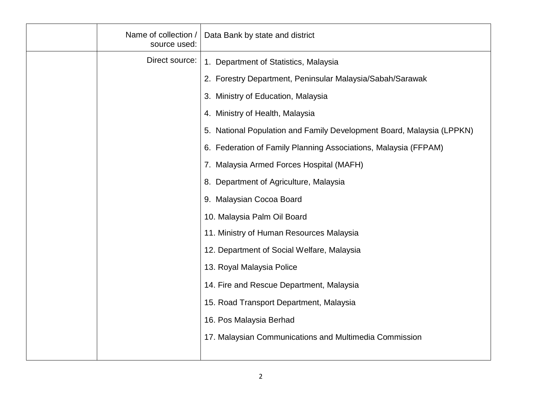| Name of collection /<br>source used: | Data Bank by state and district                                       |
|--------------------------------------|-----------------------------------------------------------------------|
| Direct source:                       | 1. Department of Statistics, Malaysia                                 |
|                                      | 2. Forestry Department, Peninsular Malaysia/Sabah/Sarawak             |
|                                      | 3. Ministry of Education, Malaysia                                    |
|                                      | 4. Ministry of Health, Malaysia                                       |
|                                      | 5. National Population and Family Development Board, Malaysia (LPPKN) |
|                                      | 6. Federation of Family Planning Associations, Malaysia (FFPAM)       |
|                                      | 7. Malaysia Armed Forces Hospital (MAFH)                              |
|                                      | 8. Department of Agriculture, Malaysia                                |
|                                      | 9. Malaysian Cocoa Board                                              |
|                                      | 10. Malaysia Palm Oil Board                                           |
|                                      | 11. Ministry of Human Resources Malaysia                              |
|                                      | 12. Department of Social Welfare, Malaysia                            |
|                                      | 13. Royal Malaysia Police                                             |
|                                      | 14. Fire and Rescue Department, Malaysia                              |
|                                      | 15. Road Transport Department, Malaysia                               |
|                                      | 16. Pos Malaysia Berhad                                               |
|                                      | 17. Malaysian Communications and Multimedia Commission                |
|                                      |                                                                       |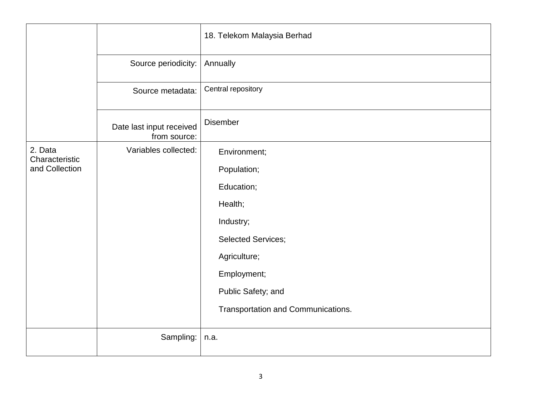|                           |                                          | 18. Telekom Malaysia Berhad        |
|---------------------------|------------------------------------------|------------------------------------|
|                           | Source periodicity:                      | Annually                           |
|                           | Source metadata:                         | Central repository                 |
|                           | Date last input received<br>from source: | Disember                           |
| 2. Data<br>Characteristic | Variables collected:                     | Environment;                       |
| and Collection            |                                          | Population;                        |
|                           |                                          | Education;                         |
|                           |                                          | Health;                            |
|                           |                                          | Industry;                          |
|                           |                                          | <b>Selected Services;</b>          |
|                           |                                          | Agriculture;                       |
|                           |                                          | Employment;                        |
|                           |                                          | Public Safety; and                 |
|                           |                                          | Transportation and Communications. |
|                           | Sampling:                                | n.a.                               |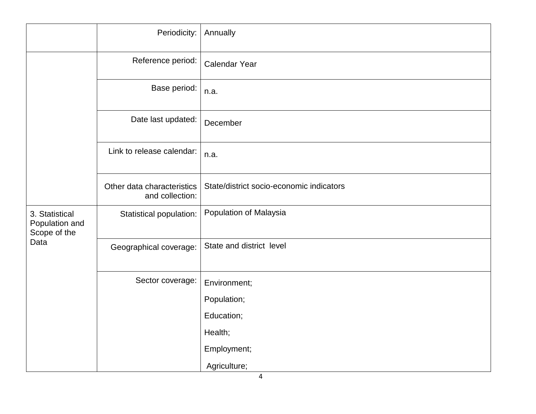|                                                          | Periodicity:                                  | Annually                                 |
|----------------------------------------------------------|-----------------------------------------------|------------------------------------------|
|                                                          | Reference period:                             | Calendar Year                            |
|                                                          | Base period:                                  | n.a.                                     |
|                                                          | Date last updated:                            | December                                 |
|                                                          | Link to release calendar:                     | n.a.                                     |
|                                                          | Other data characteristics<br>and collection: | State/district socio-economic indicators |
| 3. Statistical<br>Population and<br>Scope of the<br>Data | Statistical population:                       | Population of Malaysia                   |
|                                                          | Geographical coverage:                        | State and district level                 |
|                                                          | Sector coverage:                              | Environment;                             |
|                                                          |                                               | Population;                              |
|                                                          |                                               | Education;                               |
|                                                          |                                               | Health;                                  |
|                                                          |                                               | Employment;                              |
|                                                          |                                               | Agriculture;                             |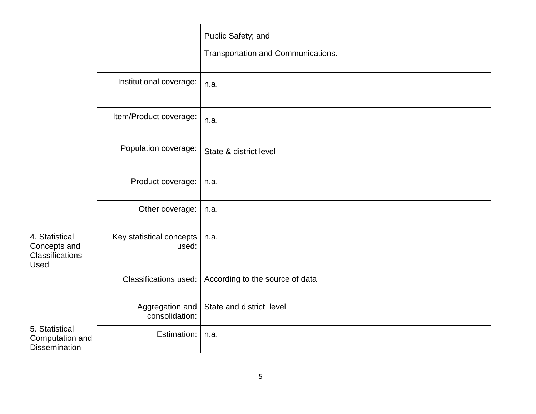|                                                           |                                   | Public Safety; and<br>Transportation and Communications. |
|-----------------------------------------------------------|-----------------------------------|----------------------------------------------------------|
|                                                           | Institutional coverage:           | n.a.                                                     |
|                                                           | Item/Product coverage:            | n.a.                                                     |
| 4. Statistical<br>Concepts and<br>Classifications<br>Used | Population coverage:              | State & district level                                   |
|                                                           | Product coverage:                 | n.a.                                                     |
|                                                           | Other coverage:                   | n.a.                                                     |
|                                                           | Key statistical concepts<br>used: | n.a.                                                     |
|                                                           | <b>Classifications used:</b>      | According to the source of data                          |
| 5. Statistical<br>Computation and<br><b>Dissemination</b> | Aggregation and<br>consolidation: | State and district level                                 |
|                                                           | Estimation:                       | n.a.                                                     |